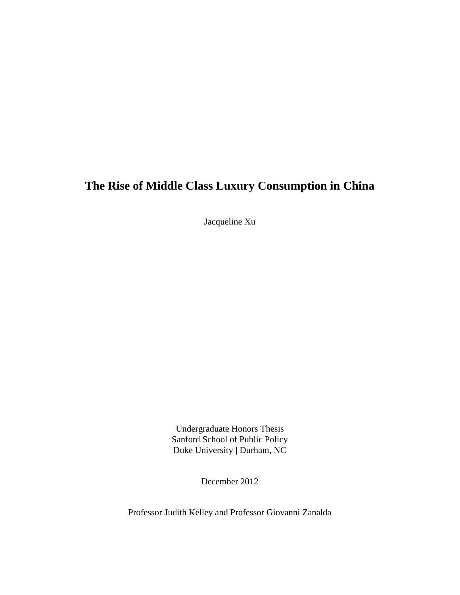# **The Rise of Middle Class Luxury Consumption in China**

Jacqueline Xu

Undergraduate Honors Thesis Sanford School of Public Policy Duke University ǀ Durham, NC

December 2012

Professor Judith Kelley and Professor Giovanni Zanalda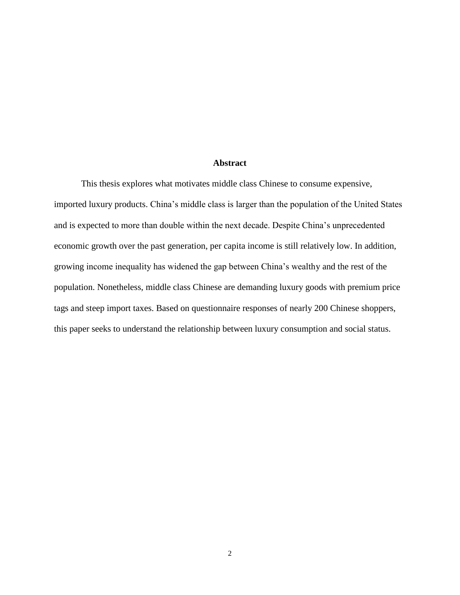#### **Abstract**

This thesis explores what motivates middle class Chinese to consume expensive, imported luxury products. China's middle class is larger than the population of the United States and is expected to more than double within the next decade. Despite China's unprecedented economic growth over the past generation, per capita income is still relatively low. In addition, growing income inequality has widened the gap between China's wealthy and the rest of the population. Nonetheless, middle class Chinese are demanding luxury goods with premium price tags and steep import taxes. Based on questionnaire responses of nearly 200 Chinese shoppers, this paper seeks to understand the relationship between luxury consumption and social status.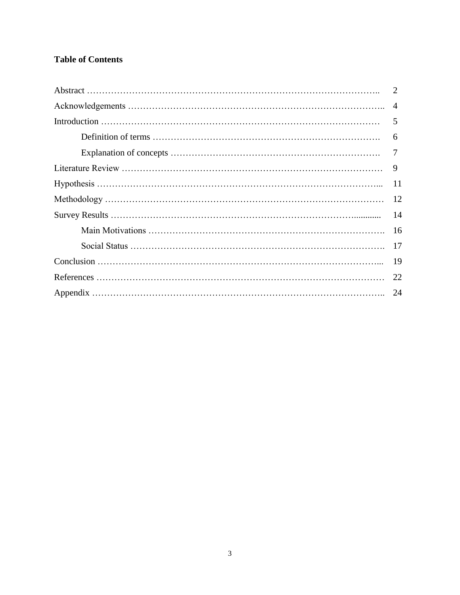## **Table of Contents**

| $\overline{4}$ |
|----------------|
| 5              |
| 6              |
|                |
| 9              |
| 11             |
| 12             |
| 14             |
| 16             |
| 17             |
| 19             |
| 22             |
| 24             |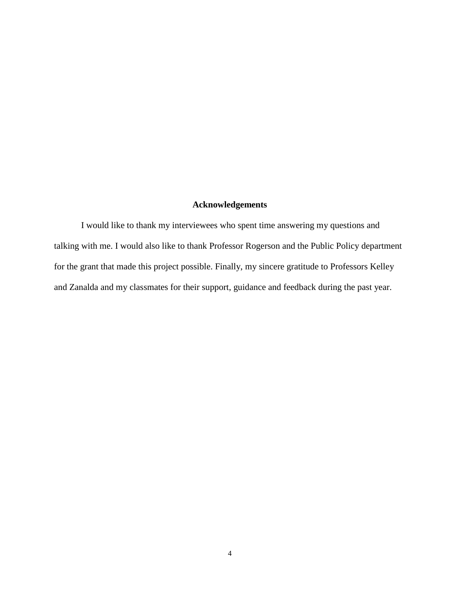### **Acknowledgements**

I would like to thank my interviewees who spent time answering my questions and talking with me. I would also like to thank Professor Rogerson and the Public Policy department for the grant that made this project possible. Finally, my sincere gratitude to Professors Kelley and Zanalda and my classmates for their support, guidance and feedback during the past year.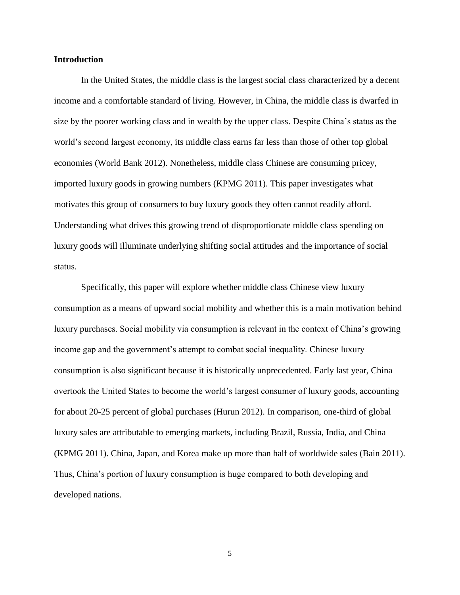#### **Introduction**

In the United States, the middle class is the largest social class characterized by a decent income and a comfortable standard of living. However, in China, the middle class is dwarfed in size by the poorer working class and in wealth by the upper class. Despite China's status as the world's second largest economy, its middle class earns far less than those of other top global economies (World Bank 2012). Nonetheless, middle class Chinese are consuming pricey, imported luxury goods in growing numbers (KPMG 2011). This paper investigates what motivates this group of consumers to buy luxury goods they often cannot readily afford. Understanding what drives this growing trend of disproportionate middle class spending on luxury goods will illuminate underlying shifting social attitudes and the importance of social status.

Specifically, this paper will explore whether middle class Chinese view luxury consumption as a means of upward social mobility and whether this is a main motivation behind luxury purchases. Social mobility via consumption is relevant in the context of China's growing income gap and the government's attempt to combat social inequality. Chinese luxury consumption is also significant because it is historically unprecedented. Early last year, China overtook the United States to become the world's largest consumer of luxury goods, accounting for about 20-25 percent of global purchases (Hurun 2012). In comparison, one-third of global luxury sales are attributable to emerging markets, including Brazil, Russia, India, and China (KPMG 2011). China, Japan, and Korea make up more than half of worldwide sales (Bain 2011). Thus, China's portion of luxury consumption is huge compared to both developing and developed nations.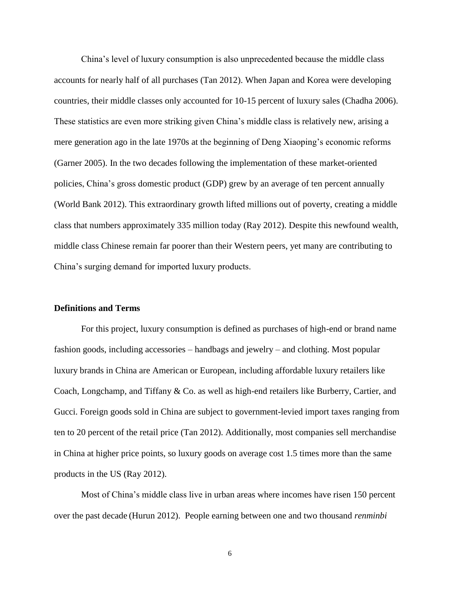China's level of luxury consumption is also unprecedented because the middle class accounts for nearly half of all purchases (Tan 2012). When Japan and Korea were developing countries, their middle classes only accounted for 10-15 percent of luxury sales (Chadha 2006). These statistics are even more striking given China's middle class is relatively new, arising a mere generation ago in the late 1970s at the beginning of Deng Xiaoping's economic reforms (Garner 2005). In the two decades following the implementation of these market-oriented policies, China's gross domestic product (GDP) grew by an average of ten percent annually (World Bank 2012). This extraordinary growth lifted millions out of poverty, creating a middle class that numbers approximately 335 million today (Ray 2012). Despite this newfound wealth, middle class Chinese remain far poorer than their Western peers, yet many are contributing to China's surging demand for imported luxury products.

#### **Definitions and Terms**

For this project, luxury consumption is defined as purchases of high-end or brand name fashion goods, including accessories – handbags and jewelry – and clothing. Most popular luxury brands in China are American or European, including affordable luxury retailers like Coach, Longchamp, and Tiffany & Co. as well as high-end retailers like Burberry, Cartier, and Gucci. Foreign goods sold in China are subject to government-levied import taxes ranging from ten to 20 percent of the retail price (Tan 2012). Additionally, most companies sell merchandise in China at higher price points, so luxury goods on average cost 1.5 times more than the same products in the US (Ray 2012).

Most of China's middle class live in urban areas where incomes have risen 150 percent over the past decade (Hurun 2012). People earning between one and two thousand *renminbi*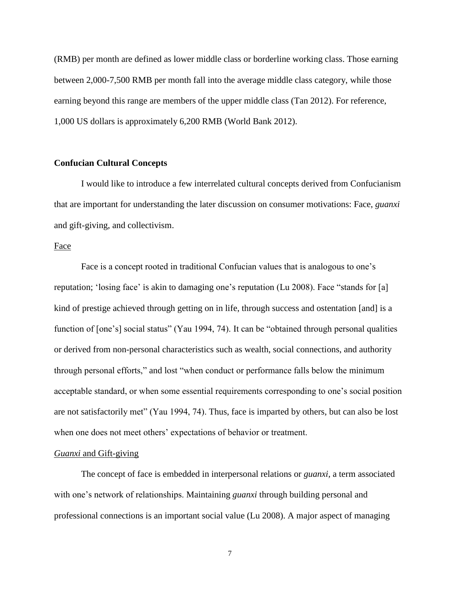(RMB) per month are defined as lower middle class or borderline working class. Those earning between 2,000-7,500 RMB per month fall into the average middle class category, while those earning beyond this range are members of the upper middle class (Tan 2012). For reference, 1,000 US dollars is approximately 6,200 RMB (World Bank 2012).

#### **Confucian Cultural Concepts**

I would like to introduce a few interrelated cultural concepts derived from Confucianism that are important for understanding the later discussion on consumer motivations: Face, *guanxi*  and gift-giving, and collectivism.

#### Face

Face is a concept rooted in traditional Confucian values that is analogous to one's reputation; 'losing face' is akin to damaging one's reputation (Lu 2008). Face "stands for [a] kind of prestige achieved through getting on in life, through success and ostentation [and] is a function of [one's] social status" (Yau 1994, 74). It can be "obtained through personal qualities or derived from non-personal characteristics such as wealth, social connections, and authority through personal efforts," and lost "when conduct or performance falls below the minimum acceptable standard, or when some essential requirements corresponding to one's social position are not satisfactorily met" (Yau 1994, 74). Thus, face is imparted by others, but can also be lost when one does not meet others' expectations of behavior or treatment.

#### *Guanxi* and Gift-giving

The concept of face is embedded in interpersonal relations or *guanxi,* a term associated with one's network of relationships. Maintaining *guanxi* through building personal and professional connections is an important social value (Lu 2008). A major aspect of managing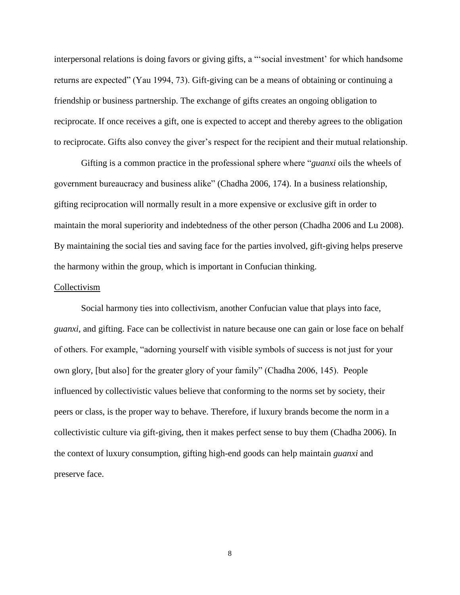interpersonal relations is doing favors or giving gifts, a "'social investment' for which handsome returns are expected" (Yau 1994, 73). Gift-giving can be a means of obtaining or continuing a friendship or business partnership. The exchange of gifts creates an ongoing obligation to reciprocate. If once receives a gift, one is expected to accept and thereby agrees to the obligation to reciprocate. Gifts also convey the giver's respect for the recipient and their mutual relationship.

Gifting is a common practice in the professional sphere where "*guanxi* oils the wheels of government bureaucracy and business alike" (Chadha 2006, 174). In a business relationship, gifting reciprocation will normally result in a more expensive or exclusive gift in order to maintain the moral superiority and indebtedness of the other person (Chadha 2006 and Lu 2008). By maintaining the social ties and saving face for the parties involved, gift-giving helps preserve the harmony within the group, which is important in Confucian thinking.

#### Collectivism

Social harmony ties into collectivism, another Confucian value that plays into face, *guanxi,* and gifting. Face can be collectivist in nature because one can gain or lose face on behalf of others. For example, "adorning yourself with visible symbols of success is not just for your own glory, [but also] for the greater glory of your family" (Chadha 2006, 145). People influenced by collectivistic values believe that conforming to the norms set by society, their peers or class, is the proper way to behave. Therefore, if luxury brands become the norm in a collectivistic culture via gift-giving, then it makes perfect sense to buy them (Chadha 2006). In the context of luxury consumption, gifting high-end goods can help maintain *guanxi* and preserve face.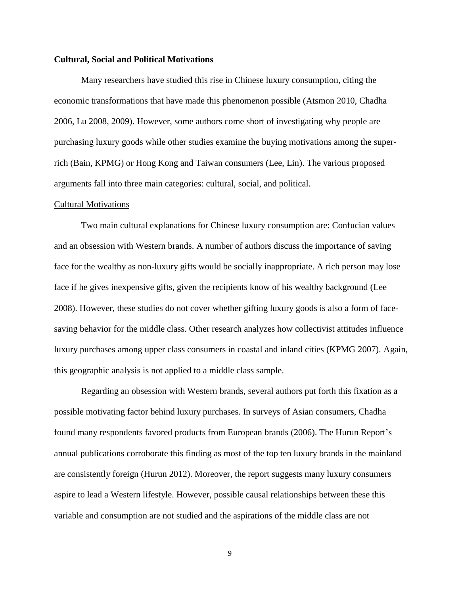#### **Cultural, Social and Political Motivations**

Many researchers have studied this rise in Chinese luxury consumption, citing the economic transformations that have made this phenomenon possible (Atsmon 2010, Chadha 2006, Lu 2008, 2009). However, some authors come short of investigating why people are purchasing luxury goods while other studies examine the buying motivations among the superrich (Bain, KPMG) or Hong Kong and Taiwan consumers (Lee, Lin). The various proposed arguments fall into three main categories: cultural, social, and political.

#### Cultural Motivations

Two main cultural explanations for Chinese luxury consumption are: Confucian values and an obsession with Western brands. A number of authors discuss the importance of saving face for the wealthy as non-luxury gifts would be socially inappropriate. A rich person may lose face if he gives inexpensive gifts, given the recipients know of his wealthy background (Lee 2008). However, these studies do not cover whether gifting luxury goods is also a form of facesaving behavior for the middle class. Other research analyzes how collectivist attitudes influence luxury purchases among upper class consumers in coastal and inland cities (KPMG 2007). Again, this geographic analysis is not applied to a middle class sample.

Regarding an obsession with Western brands, several authors put forth this fixation as a possible motivating factor behind luxury purchases. In surveys of Asian consumers, Chadha found many respondents favored products from European brands (2006). The Hurun Report's annual publications corroborate this finding as most of the top ten luxury brands in the mainland are consistently foreign (Hurun 2012). Moreover, the report suggests many luxury consumers aspire to lead a Western lifestyle. However, possible causal relationships between these this variable and consumption are not studied and the aspirations of the middle class are not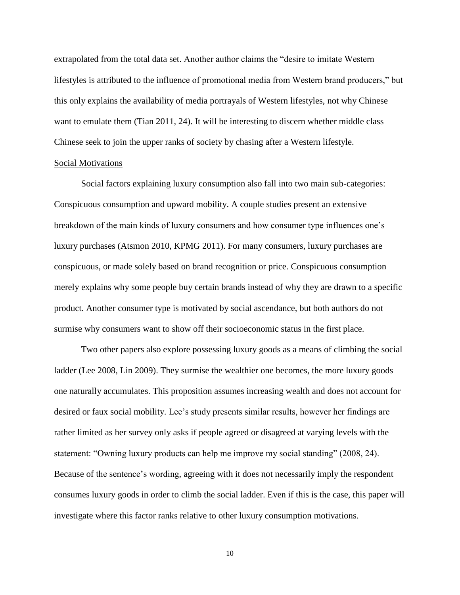extrapolated from the total data set. Another author claims the "desire to imitate Western lifestyles is attributed to the influence of promotional media from Western brand producers," but this only explains the availability of media portrayals of Western lifestyles, not why Chinese want to emulate them (Tian 2011, 24). It will be interesting to discern whether middle class Chinese seek to join the upper ranks of society by chasing after a Western lifestyle. Social Motivations

Social factors explaining luxury consumption also fall into two main sub-categories: Conspicuous consumption and upward mobility. A couple studies present an extensive breakdown of the main kinds of luxury consumers and how consumer type influences one's luxury purchases (Atsmon 2010, KPMG 2011). For many consumers, luxury purchases are conspicuous, or made solely based on brand recognition or price. Conspicuous consumption merely explains why some people buy certain brands instead of why they are drawn to a specific product. Another consumer type is motivated by social ascendance, but both authors do not surmise why consumers want to show off their socioeconomic status in the first place.

Two other papers also explore possessing luxury goods as a means of climbing the social ladder (Lee 2008, Lin 2009). They surmise the wealthier one becomes, the more luxury goods one naturally accumulates. This proposition assumes increasing wealth and does not account for desired or faux social mobility. Lee's study presents similar results, however her findings are rather limited as her survey only asks if people agreed or disagreed at varying levels with the statement: "Owning luxury products can help me improve my social standing" (2008, 24). Because of the sentence's wording, agreeing with it does not necessarily imply the respondent consumes luxury goods in order to climb the social ladder. Even if this is the case, this paper will investigate where this factor ranks relative to other luxury consumption motivations.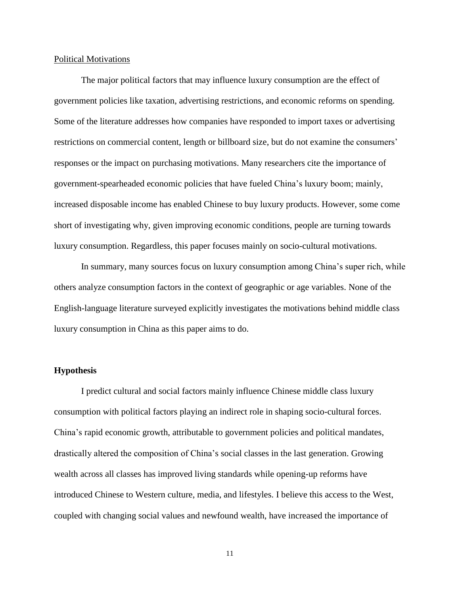#### Political Motivations

The major political factors that may influence luxury consumption are the effect of government policies like taxation, advertising restrictions, and economic reforms on spending. Some of the literature addresses how companies have responded to import taxes or advertising restrictions on commercial content, length or billboard size, but do not examine the consumers' responses or the impact on purchasing motivations. Many researchers cite the importance of government-spearheaded economic policies that have fueled China's luxury boom; mainly, increased disposable income has enabled Chinese to buy luxury products. However, some come short of investigating why, given improving economic conditions, people are turning towards luxury consumption. Regardless, this paper focuses mainly on socio-cultural motivations.

In summary, many sources focus on luxury consumption among China's super rich, while others analyze consumption factors in the context of geographic or age variables. None of the English-language literature surveyed explicitly investigates the motivations behind middle class luxury consumption in China as this paper aims to do.

#### **Hypothesis**

I predict cultural and social factors mainly influence Chinese middle class luxury consumption with political factors playing an indirect role in shaping socio-cultural forces. China's rapid economic growth, attributable to government policies and political mandates, drastically altered the composition of China's social classes in the last generation. Growing wealth across all classes has improved living standards while opening-up reforms have introduced Chinese to Western culture, media, and lifestyles. I believe this access to the West, coupled with changing social values and newfound wealth, have increased the importance of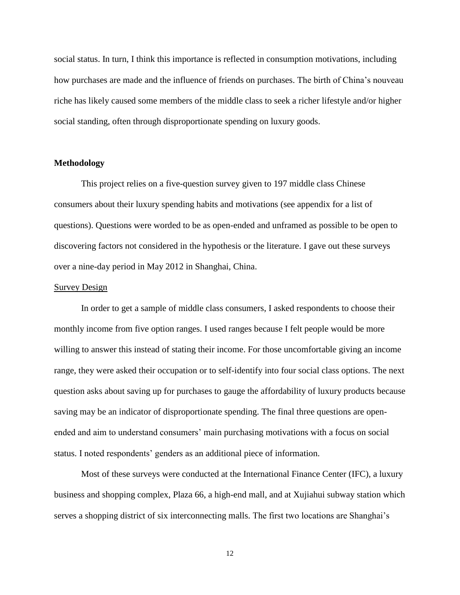social status. In turn, I think this importance is reflected in consumption motivations, including how purchases are made and the influence of friends on purchases. The birth of China's nouveau riche has likely caused some members of the middle class to seek a richer lifestyle and/or higher social standing, often through disproportionate spending on luxury goods.

#### **Methodology**

This project relies on a five-question survey given to 197 middle class Chinese consumers about their luxury spending habits and motivations (see appendix for a list of questions). Questions were worded to be as open-ended and unframed as possible to be open to discovering factors not considered in the hypothesis or the literature. I gave out these surveys over a nine-day period in May 2012 in Shanghai, China.

#### Survey Design

In order to get a sample of middle class consumers, I asked respondents to choose their monthly income from five option ranges. I used ranges because I felt people would be more willing to answer this instead of stating their income. For those uncomfortable giving an income range, they were asked their occupation or to self-identify into four social class options. The next question asks about saving up for purchases to gauge the affordability of luxury products because saving may be an indicator of disproportionate spending. The final three questions are openended and aim to understand consumers' main purchasing motivations with a focus on social status. I noted respondents' genders as an additional piece of information.

Most of these surveys were conducted at the International Finance Center (IFC), a luxury business and shopping complex, Plaza 66, a high-end mall, and at Xujiahui subway station which serves a shopping district of six interconnecting malls. The first two locations are Shanghai's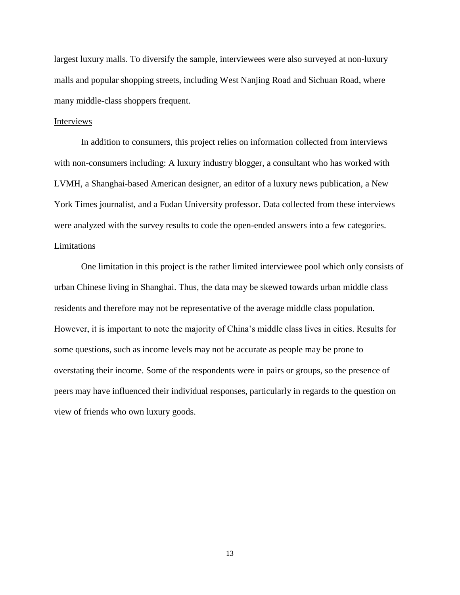largest luxury malls. To diversify the sample, interviewees were also surveyed at non-luxury malls and popular shopping streets, including West Nanjing Road and Sichuan Road, where many middle-class shoppers frequent.

#### Interviews

In addition to consumers, this project relies on information collected from interviews with non-consumers including: A luxury industry blogger, a consultant who has worked with LVMH, a Shanghai-based American designer, an editor of a luxury news publication, a New York Times journalist, and a Fudan University professor. Data collected from these interviews were analyzed with the survey results to code the open-ended answers into a few categories. Limitations

One limitation in this project is the rather limited interviewee pool which only consists of urban Chinese living in Shanghai. Thus, the data may be skewed towards urban middle class residents and therefore may not be representative of the average middle class population. However, it is important to note the majority of China's middle class lives in cities. Results for some questions, such as income levels may not be accurate as people may be prone to overstating their income. Some of the respondents were in pairs or groups, so the presence of peers may have influenced their individual responses, particularly in regards to the question on view of friends who own luxury goods.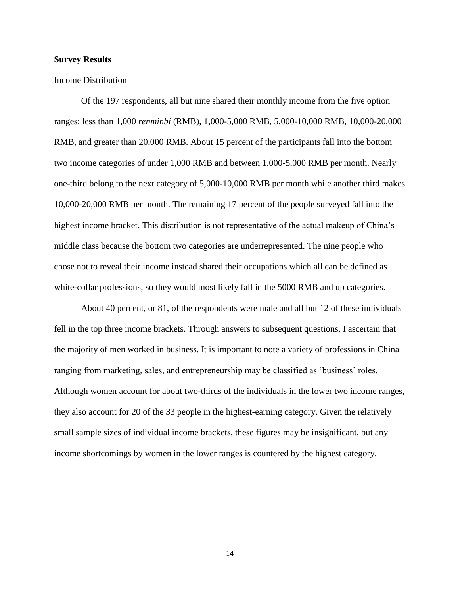#### **Survey Results**

#### Income Distribution

Of the 197 respondents, all but nine shared their monthly income from the five option ranges: less than 1,000 *renminbi* (RMB), 1,000-5,000 RMB, 5,000-10,000 RMB, 10,000-20,000 RMB, and greater than 20,000 RMB. About 15 percent of the participants fall into the bottom two income categories of under 1,000 RMB and between 1,000-5,000 RMB per month. Nearly one-third belong to the next category of 5,000-10,000 RMB per month while another third makes 10,000-20,000 RMB per month. The remaining 17 percent of the people surveyed fall into the highest income bracket. This distribution is not representative of the actual makeup of China's middle class because the bottom two categories are underrepresented. The nine people who chose not to reveal their income instead shared their occupations which all can be defined as white-collar professions, so they would most likely fall in the 5000 RMB and up categories.

About 40 percent, or 81, of the respondents were male and all but 12 of these individuals fell in the top three income brackets. Through answers to subsequent questions, I ascertain that the majority of men worked in business. It is important to note a variety of professions in China ranging from marketing, sales, and entrepreneurship may be classified as 'business' roles. Although women account for about two-thirds of the individuals in the lower two income ranges, they also account for 20 of the 33 people in the highest-earning category. Given the relatively small sample sizes of individual income brackets, these figures may be insignificant, but any income shortcomings by women in the lower ranges is countered by the highest category.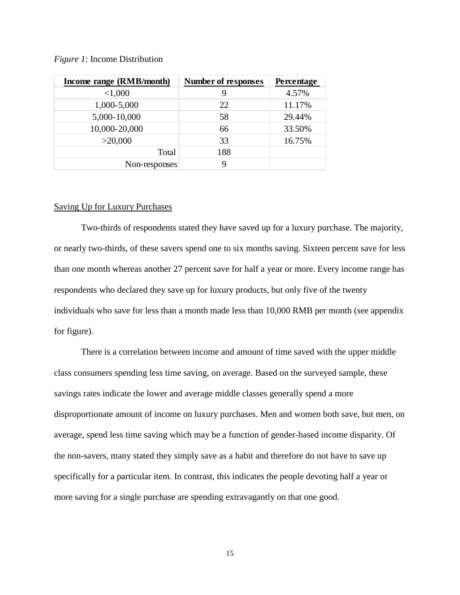| Income range (RMB/month) | Number of responses | Percentage |
|--------------------------|---------------------|------------|
| < 1,000                  |                     | 4.57%      |
| 1,000-5,000              | 22                  | 11.17%     |
| 5,000-10,000             | 58                  | 29.44%     |
| 10,000-20,000            | 66                  | 33.50%     |
| >20,000                  | 33                  | 16.75%     |
| Total                    | 188                 |            |
| Non-responses            |                     |            |

#### *Figure 1*: Income Distribution

#### Saving Up for Luxury Purchases

Two-thirds of respondents stated they have saved up for a luxury purchase. The majority, or nearly two-thirds, of these savers spend one to six months saving. Sixteen percent save for less than one month whereas another 27 percent save for half a year or more. Every income range has respondents who declared they save up for luxury products, but only five of the twenty individuals who save for less than a month made less than 10,000 RMB per month (see appendix for figure).

There is a correlation between income and amount of time saved with the upper middle class consumers spending less time saving, on average. Based on the surveyed sample, these savings rates indicate the lower and average middle classes generally spend a more disproportionate amount of income on luxury purchases. Men and women both save, but men, on average, spend less time saving which may be a function of gender-based income disparity. Of the non-savers, many stated they simply save as a habit and therefore do not have to save up specifically for a particular item. In contrast, this indicates the people devoting half a year or more saving for a single purchase are spending extravagantly on that one good.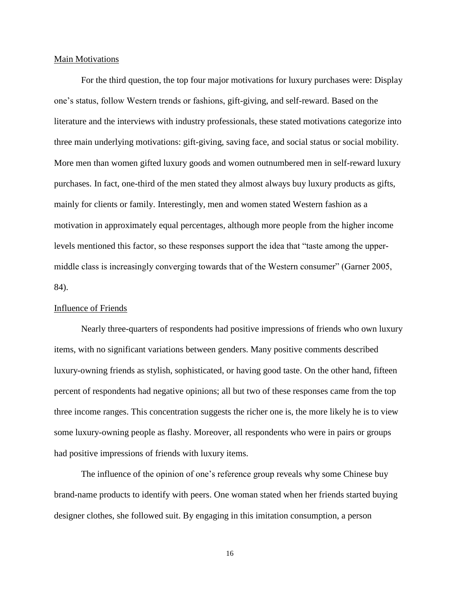#### Main Motivations

For the third question, the top four major motivations for luxury purchases were: Display one's status, follow Western trends or fashions, gift-giving, and self-reward. Based on the literature and the interviews with industry professionals, these stated motivations categorize into three main underlying motivations: gift-giving, saving face, and social status or social mobility. More men than women gifted luxury goods and women outnumbered men in self-reward luxury purchases. In fact, one-third of the men stated they almost always buy luxury products as gifts, mainly for clients or family. Interestingly, men and women stated Western fashion as a motivation in approximately equal percentages, although more people from the higher income levels mentioned this factor, so these responses support the idea that "taste among the uppermiddle class is increasingly converging towards that of the Western consumer" (Garner 2005, 84).

#### Influence of Friends

Nearly three-quarters of respondents had positive impressions of friends who own luxury items, with no significant variations between genders. Many positive comments described luxury-owning friends as stylish, sophisticated, or having good taste. On the other hand, fifteen percent of respondents had negative opinions; all but two of these responses came from the top three income ranges. This concentration suggests the richer one is, the more likely he is to view some luxury-owning people as flashy. Moreover, all respondents who were in pairs or groups had positive impressions of friends with luxury items.

The influence of the opinion of one's reference group reveals why some Chinese buy brand-name products to identify with peers. One woman stated when her friends started buying designer clothes, she followed suit. By engaging in this imitation consumption, a person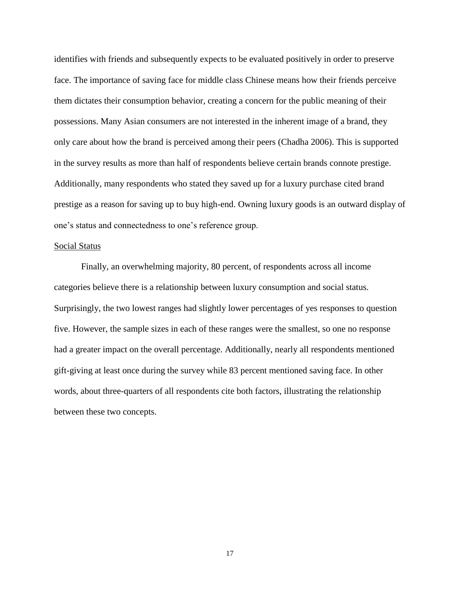identifies with friends and subsequently expects to be evaluated positively in order to preserve face. The importance of saving face for middle class Chinese means how their friends perceive them dictates their consumption behavior, creating a concern for the public meaning of their possessions. Many Asian consumers are not interested in the inherent image of a brand, they only care about how the brand is perceived among their peers (Chadha 2006). This is supported in the survey results as more than half of respondents believe certain brands connote prestige. Additionally, many respondents who stated they saved up for a luxury purchase cited brand prestige as a reason for saving up to buy high-end. Owning luxury goods is an outward display of one's status and connectedness to one's reference group.

#### Social Status

Finally, an overwhelming majority, 80 percent, of respondents across all income categories believe there is a relationship between luxury consumption and social status. Surprisingly, the two lowest ranges had slightly lower percentages of yes responses to question five. However, the sample sizes in each of these ranges were the smallest, so one no response had a greater impact on the overall percentage. Additionally, nearly all respondents mentioned gift-giving at least once during the survey while 83 percent mentioned saving face. In other words, about three-quarters of all respondents cite both factors, illustrating the relationship between these two concepts.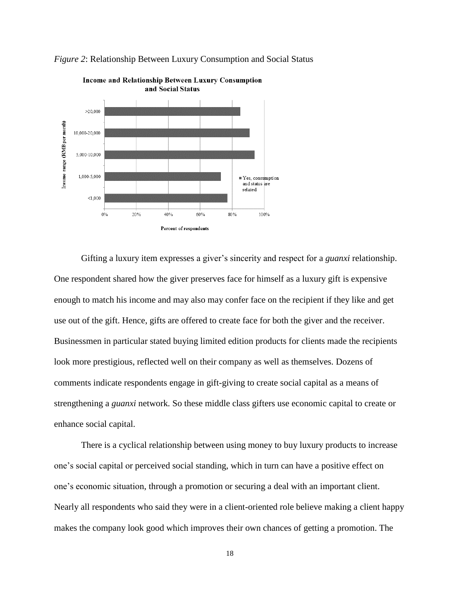



Gifting a luxury item expresses a giver's sincerity and respect for a *guanxi* relationship. One respondent shared how the giver preserves face for himself as a luxury gift is expensive enough to match his income and may also may confer face on the recipient if they like and get use out of the gift. Hence, gifts are offered to create face for both the giver and the receiver. Businessmen in particular stated buying limited edition products for clients made the recipients look more prestigious, reflected well on their company as well as themselves. Dozens of comments indicate respondents engage in gift-giving to create social capital as a means of strengthening a *guanxi* network*.* So these middle class gifters use economic capital to create or enhance social capital.

There is a cyclical relationship between using money to buy luxury products to increase one's social capital or perceived social standing, which in turn can have a positive effect on one's economic situation, through a promotion or securing a deal with an important client. Nearly all respondents who said they were in a client-oriented role believe making a client happy makes the company look good which improves their own chances of getting a promotion. The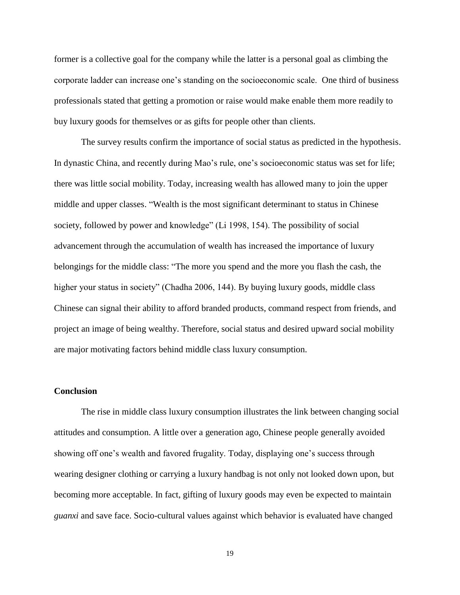former is a collective goal for the company while the latter is a personal goal as climbing the corporate ladder can increase one's standing on the socioeconomic scale. One third of business professionals stated that getting a promotion or raise would make enable them more readily to buy luxury goods for themselves or as gifts for people other than clients.

The survey results confirm the importance of social status as predicted in the hypothesis. In dynastic China, and recently during Mao's rule, one's socioeconomic status was set for life; there was little social mobility. Today, increasing wealth has allowed many to join the upper middle and upper classes. "Wealth is the most significant determinant to status in Chinese society, followed by power and knowledge" (Li 1998, 154). The possibility of social advancement through the accumulation of wealth has increased the importance of luxury belongings for the middle class: "The more you spend and the more you flash the cash, the higher your status in society" (Chadha 2006, 144). By buying luxury goods, middle class Chinese can signal their ability to afford branded products, command respect from friends, and project an image of being wealthy. Therefore, social status and desired upward social mobility are major motivating factors behind middle class luxury consumption.

#### **Conclusion**

The rise in middle class luxury consumption illustrates the link between changing social attitudes and consumption. A little over a generation ago, Chinese people generally avoided showing off one's wealth and favored frugality. Today, displaying one's success through wearing designer clothing or carrying a luxury handbag is not only not looked down upon, but becoming more acceptable. In fact, gifting of luxury goods may even be expected to maintain *guanxi* and save face. Socio-cultural values against which behavior is evaluated have changed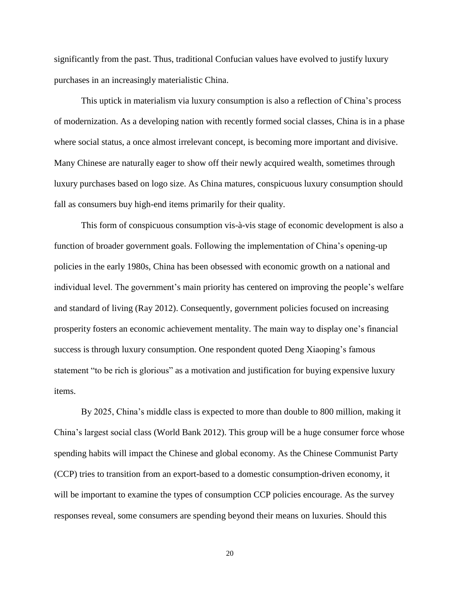significantly from the past. Thus, traditional Confucian values have evolved to justify luxury purchases in an increasingly materialistic China.

This uptick in materialism via luxury consumption is also a reflection of China's process of modernization. As a developing nation with recently formed social classes, China is in a phase where social status, a once almost irrelevant concept, is becoming more important and divisive. Many Chinese are naturally eager to show off their newly acquired wealth, sometimes through luxury purchases based on logo size. As China matures, conspicuous luxury consumption should fall as consumers buy high-end items primarily for their quality.

This form of conspicuous consumption vis-à-vis stage of economic development is also a function of broader government goals. Following the implementation of China's opening-up policies in the early 1980s, China has been obsessed with economic growth on a national and individual level. The government's main priority has centered on improving the people's welfare and standard of living (Ray 2012). Consequently, government policies focused on increasing prosperity fosters an economic achievement mentality. The main way to display one's financial success is through luxury consumption. One respondent quoted Deng Xiaoping's famous statement "to be rich is glorious" as a motivation and justification for buying expensive luxury items.

By 2025, China's middle class is expected to more than double to 800 million, making it China's largest social class (World Bank 2012). This group will be a huge consumer force whose spending habits will impact the Chinese and global economy. As the Chinese Communist Party (CCP) tries to transition from an export-based to a domestic consumption-driven economy, it will be important to examine the types of consumption CCP policies encourage. As the survey responses reveal, some consumers are spending beyond their means on luxuries. Should this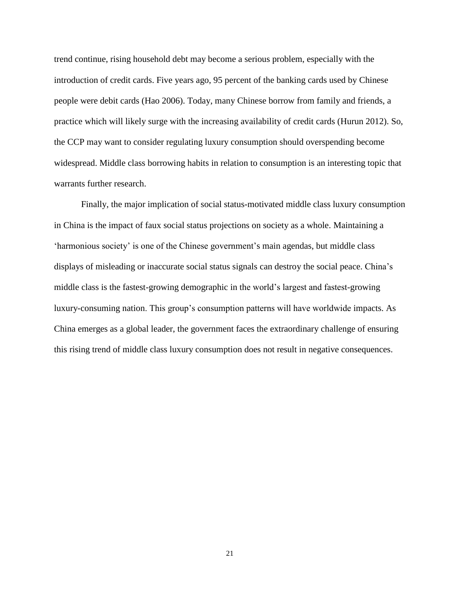trend continue, rising household debt may become a serious problem, especially with the introduction of credit cards. Five years ago, 95 percent of the banking cards used by Chinese people were debit cards (Hao 2006). Today, many Chinese borrow from family and friends, a practice which will likely surge with the increasing availability of credit cards (Hurun 2012). So, the CCP may want to consider regulating luxury consumption should overspending become widespread. Middle class borrowing habits in relation to consumption is an interesting topic that warrants further research.

Finally, the major implication of social status-motivated middle class luxury consumption in China is the impact of faux social status projections on society as a whole. Maintaining a 'harmonious society' is one of the Chinese government's main agendas, but middle class displays of misleading or inaccurate social status signals can destroy the social peace. China's middle class is the fastest-growing demographic in the world's largest and fastest-growing luxury-consuming nation. This group's consumption patterns will have worldwide impacts. As China emerges as a global leader, the government faces the extraordinary challenge of ensuring this rising trend of middle class luxury consumption does not result in negative consequences.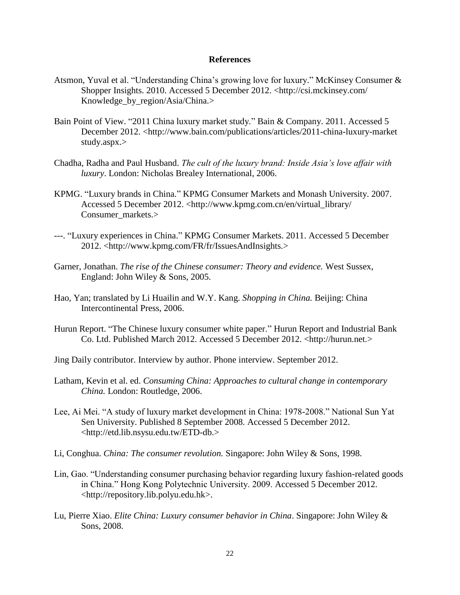#### **References**

- Atsmon, Yuval et al. "Understanding China's growing love for luxury." McKinsey Consumer & Shopper Insights. 2010. Accessed 5 December 2012. <http://csi.mckinsey.com/ Knowledge by region/Asia/China.>
- Bain Point of View. "2011 China luxury market study*.*" Bain & Company. 2011. Accessed 5 December 2012. <http://www.bain.com/publications/articles/2011-china-luxury-market study.aspx.>
- Chadha, Radha and Paul Husband. *The cult of the luxury brand: Inside Asia's love affair with luxury*. London: Nicholas Brealey International, 2006.
- KPMG. "Luxury brands in China." KPMG Consumer Markets and Monash University. 2007. Accessed 5 December 2012. <http://www.kpmg.com.cn/en/virtual\_library/ Consumer\_markets.>
- ---. "Luxury experiences in China." KPMG Consumer Markets. 2011. Accessed 5 December 2012. <http://www.kpmg.com/FR/fr/IssuesAndInsights.>
- Garner, Jonathan. *The rise of the Chinese consumer: Theory and evidence.* West Sussex, England: John Wiley & Sons, 2005.
- Hao, Yan; translated by Li Huailin and W.Y. Kang. *Shopping in China.* Beijing: China Intercontinental Press, 2006.
- Hurun Report. "The Chinese luxury consumer white paper." Hurun Report and Industrial Bank Co. Ltd. Published March 2012. Accessed 5 December 2012. <http://hurun.net.>
- Jing Daily contributor. Interview by author. Phone interview. September 2012.
- Latham, Kevin et al. ed. *Consuming China: Approaches to cultural change in contemporary China.* London: Routledge, 2006.
- Lee, Ai Mei. "A study of luxury market development in China: 1978-2008." National Sun Yat Sen University. Published 8 September 2008. Accessed 5 December 2012. <http://etd.lib.nsysu.edu.tw/ETD-db.>
- Li, Conghua. *China: The consumer revolution.* Singapore: John Wiley & Sons, 1998.
- Lin, Gao. "Understanding consumer purchasing behavior regarding luxury fashion-related goods in China." Hong Kong Polytechnic University. 2009. Accessed 5 December 2012. <http://repository.lib.polyu.edu.hk>.
- Lu, Pierre Xiao. *Elite China: Luxury consumer behavior in China*. Singapore: John Wiley & Sons, 2008.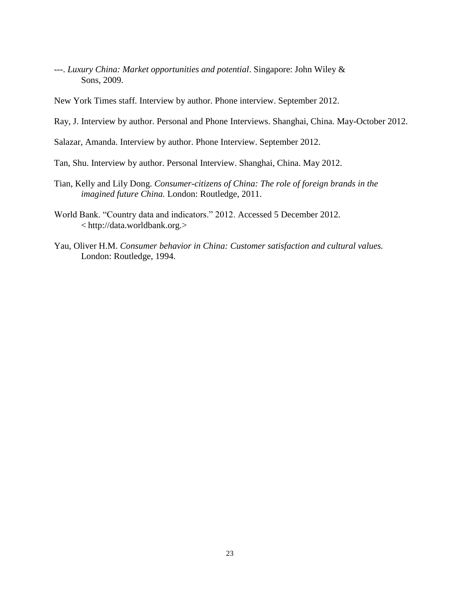---. *Luxury China: Market opportunities and potential*. Singapore: John Wiley & Sons, 2009.

New York Times staff. Interview by author. Phone interview. September 2012.

Ray, J. Interview by author. Personal and Phone Interviews. Shanghai, China. May-October 2012.

Salazar, Amanda. Interview by author. Phone Interview. September 2012.

Tan, Shu. Interview by author. Personal Interview. Shanghai, China. May 2012.

- Tian, Kelly and Lily Dong. *Consumer-citizens of China: The role of foreign brands in the imagined future China.* London: Routledge, 2011.
- World Bank. "Country data and indicators." 2012. Accessed 5 December 2012. < http://data.worldbank.org.>
- Yau, Oliver H.M. *Consumer behavior in China: Customer satisfaction and cultural values.* London: Routledge, 1994.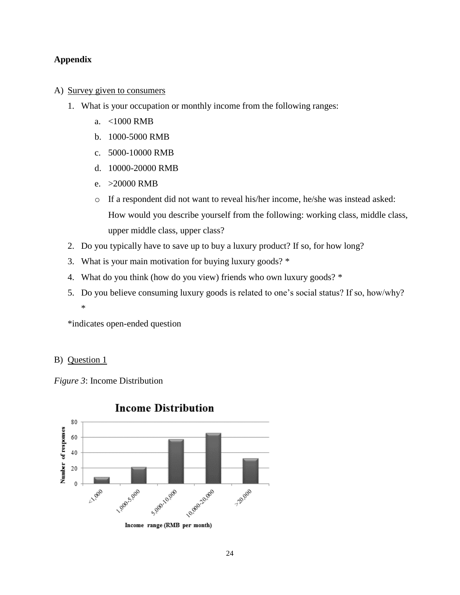### **Appendix**

### A) Survey given to consumers

- 1. What is your occupation or monthly income from the following ranges:
	- a. <1000 RMB
	- b. 1000-5000 RMB
	- c. 5000-10000 RMB
	- d. 10000-20000 RMB
	- e. >20000 RMB
	- o If a respondent did not want to reveal his/her income, he/she was instead asked: How would you describe yourself from the following: working class, middle class, upper middle class, upper class?
- 2. Do you typically have to save up to buy a luxury product? If so, for how long?
- 3. What is your main motivation for buying luxury goods? \*
- 4. What do you think (how do you view) friends who own luxury goods? \*
- 5. Do you believe consuming luxury goods is related to one's social status? If so, how/why? \*

\*indicates open-ended question

### B) Question 1

*Figure 3*: Income Distribution



## **Income Distribution**